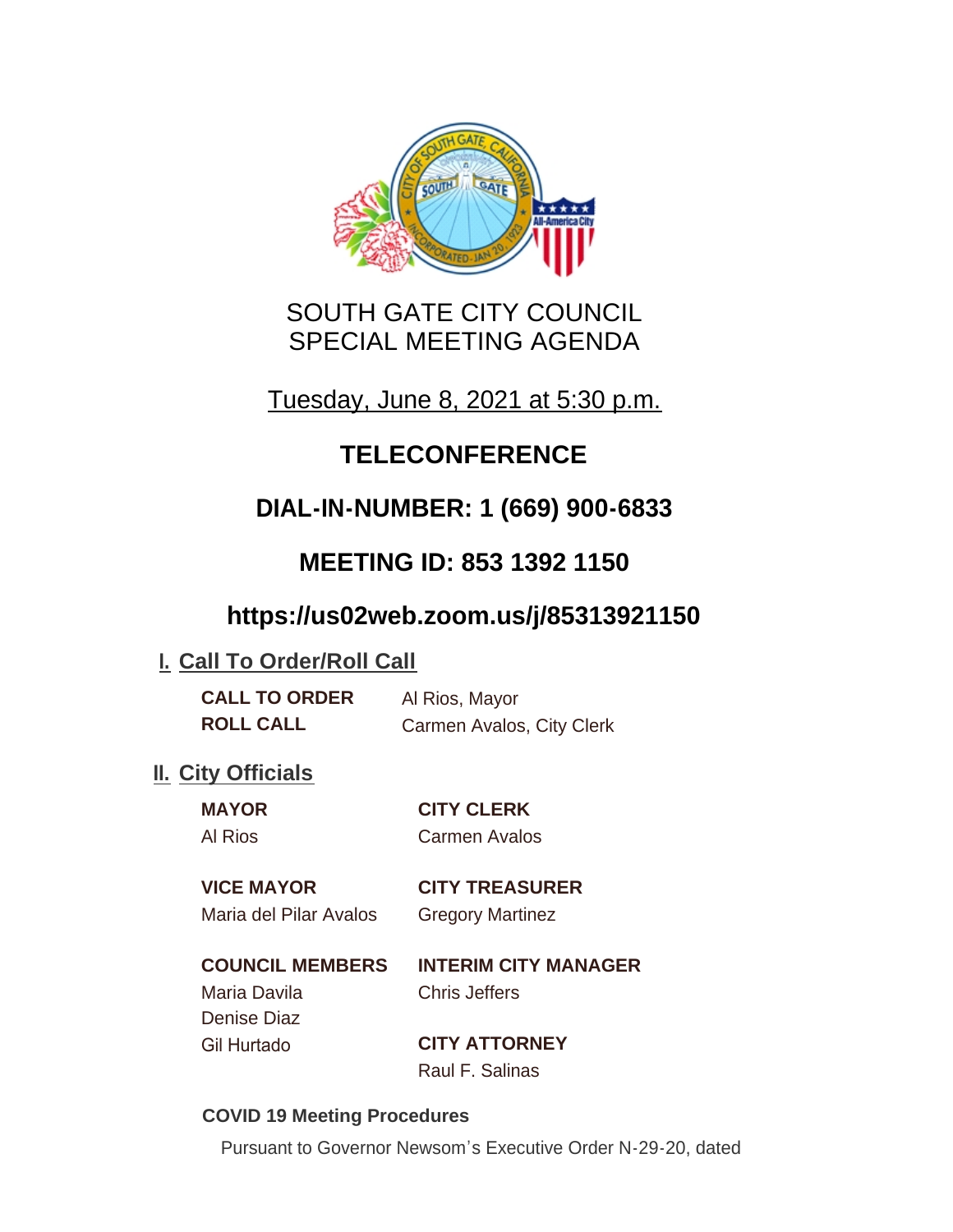

# SOUTH GATE CITY COUNCIL SPECIAL MEETING AGENDA

Tuesday, June 8, 2021 at 5:30 p.m.

# **TELECONFERENCE**

# **DIAL-IN-NUMBER: 1 (669) 900-6833**

# **MEETING ID: 853 1392 1150**

# **https://us02web.zoom.us/j/85313921150**

## **I. Call To Order/Roll Call**

| <b>CALL TO ORDER</b> | Al Rios, Mayor            |
|----------------------|---------------------------|
| <b>ROLL CALL</b>     | Carmen Avalos, City Clerk |

## **II.** City Officials

**MAYOR CITY CLERK** Al Rios Carmen Avalos

### **VICE MAYOR CITY TREASURER**

Maria del Pilar Avalos Gregory Martinez

#### **COUNCIL MEMBERS INTERIM CITY MANAGER** Maria Davila Chris Jeffers

Denise Diaz

Gil Hurtado **CITY ATTORNEY** Raul F. Salinas

#### **COVID 19 Meeting Procedures**

Pursuant to Governor Newsom's Executive Order N-29-20, dated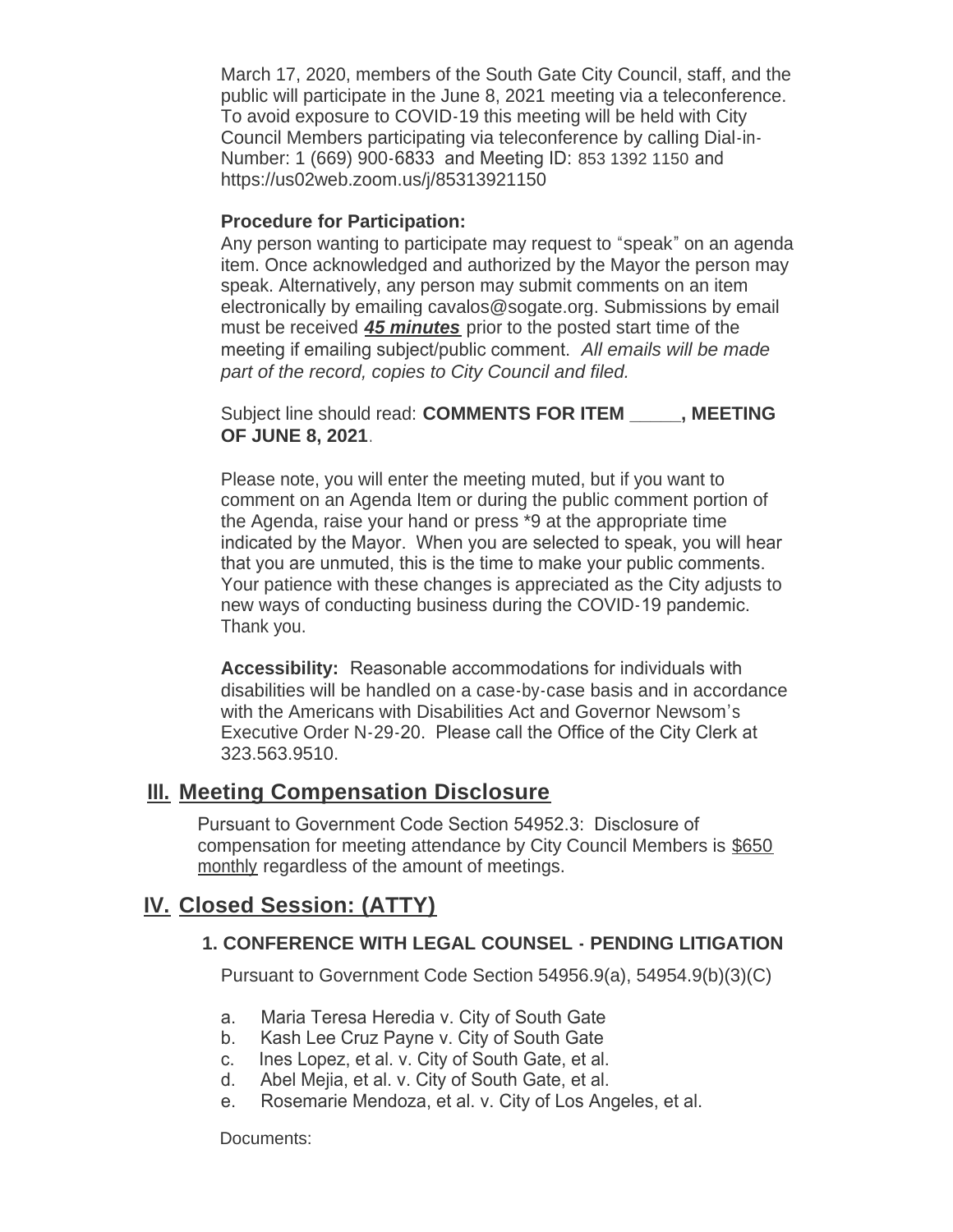March 17, 2020, members of the South Gate City Council, staff, and the public will participate in the June 8, 2021 meeting via a teleconference. To avoid exposure to COVID-19 this meeting will be held with City Council Members participating via teleconference by calling Dial-in-Number: 1 (669) 900-6833 and Meeting ID: 853 1392 1150 and https://us02web.zoom.us/j/85313921150

#### **Procedure for Participation:**

Any person wanting to participate may request to "speak" on an agenda item. Once acknowledged and authorized by the Mayor the person may speak. Alternatively, any person may submit comments on an item electronically by emailing cavalos@sogate.org. Submissions by email must be received *45 minutes* prior to the posted start time of the meeting if emailing subject/public comment. *All emails will be made part of the record, copies to City Council and filed.*

Subject line should read: **COMMENTS FOR ITEM \_\_\_\_\_, MEETING OF JUNE 8, 2021**.

Please note, you will enter the meeting muted, but if you want to comment on an Agenda Item or during the public comment portion of the Agenda, raise your hand or press \*9 at the appropriate time indicated by the Mayor. When you are selected to speak, you will hear that you are unmuted, this is the time to make your public comments. Your patience with these changes is appreciated as the City adjusts to new ways of conducting business during the COVID-19 pandemic. Thank you.

**Accessibility:** Reasonable accommodations for individuals with disabilities will be handled on a case-by-case basis and in accordance with the Americans with Disabilities Act and Governor Newsom's Executive Order N-29-20. Please call the Office of the City Clerk at 323.563.9510.

#### **Meeting Compensation Disclosure III.**

Pursuant to Government Code Section 54952.3: Disclosure of compensation for meeting attendance by City Council Members is \$650 monthly regardless of the amount of meetings.

### **Closed Session: (ATTY) IV.**

#### **1. CONFERENCE WITH LEGAL COUNSEL - PENDING LITIGATION**

Pursuant to Government Code Section 54956.9(a), 54954.9(b)(3)(C)

- a. Maria Teresa Heredia v. City of South Gate
- b. Kash Lee Cruz Payne v. City of South Gate
- c. Ines Lopez, et al. v. City of South Gate, et al.
- d. Abel Mejia, et al. v. City of South Gate, et al.
- e. Rosemarie Mendoza, et al. v. City of Los Angeles, et al.

Documents: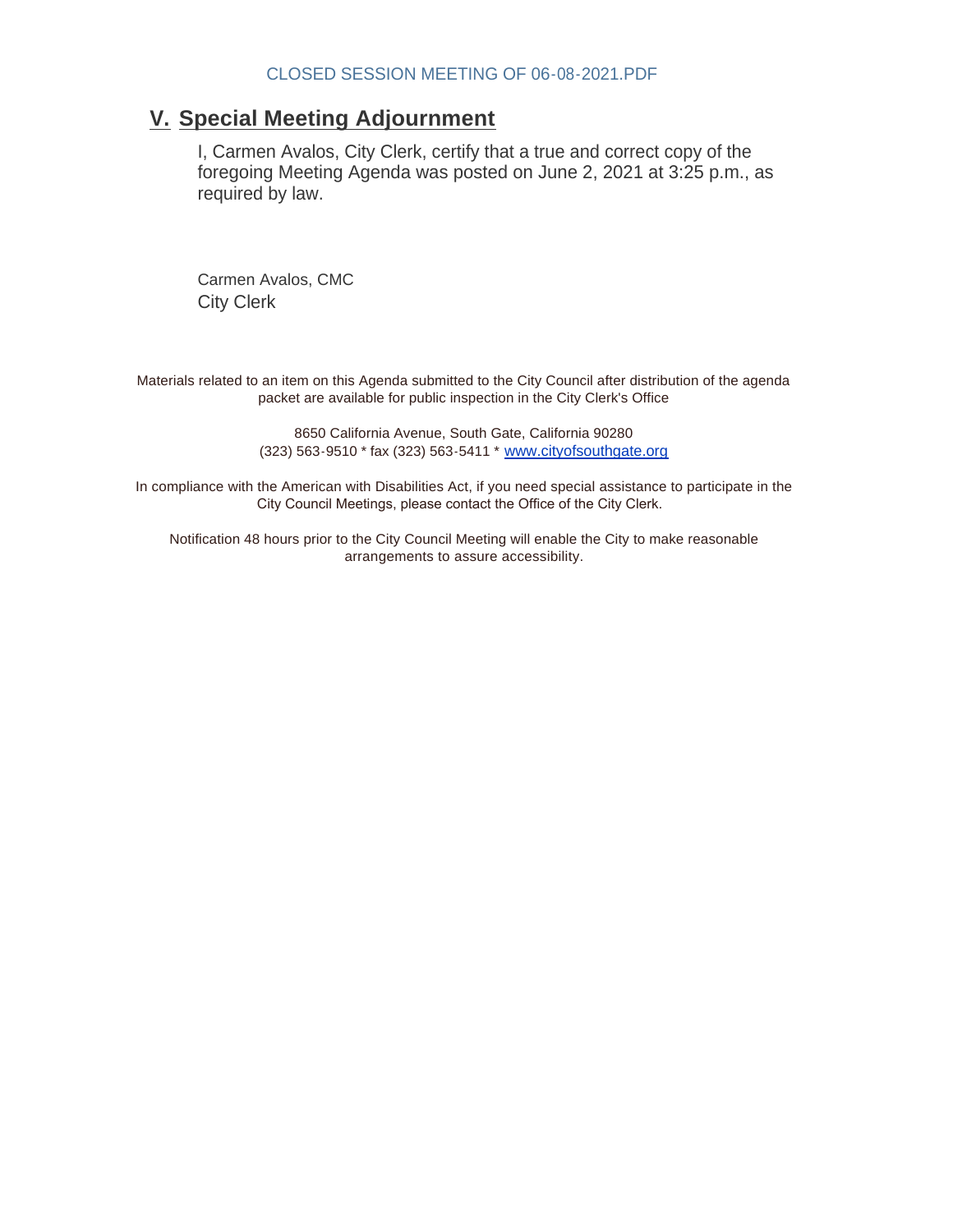#### **Special Meeting Adjournment V.**

I, Carmen Avalos, City Clerk, certify that a true and correct copy of the foregoing Meeting Agenda was posted on June 2, 2021 at 3:25 p.m., as required by law.

Carmen Avalos, CMC City Clerk

Materials related to an item on this Agenda submitted to the City Council after distribution of the agenda packet are available for public inspection in the City Clerk's Office

> 8650 California Avenue, South Gate, California 90280 (323) 563-9510 \* fax (323) 563-5411 \* [www.cityofsouthgate.org](http://www.cityofsouthgate.org/)

In compliance with the American with Disabilities Act, if you need special assistance to participate in the City Council Meetings, please contact the Office of the City Clerk.

Notification 48 hours prior to the City Council Meeting will enable the City to make reasonable arrangements to assure accessibility.